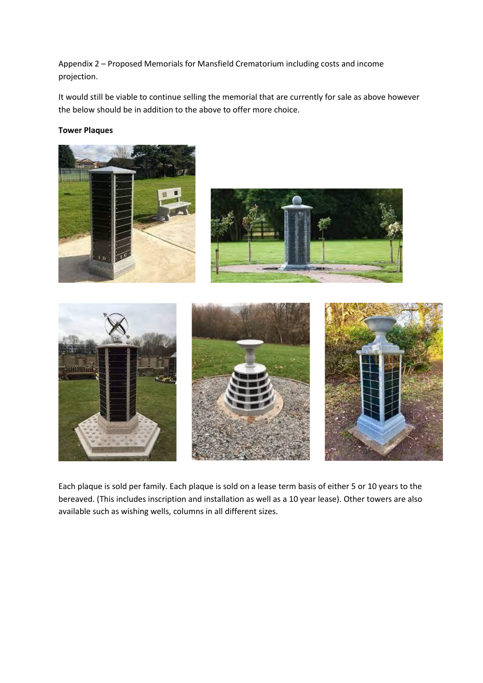Appendix 2 – Proposed Memorials for Mansfield Crematorium including costs and income projection.

It would still be viable to continue selling the memorial that are currently for sale as above however the below should be in addition to the above to offer more choice.

# **Tower Plaques**



Each plaque is sold per family. Each plaque is sold on a lease term basis of either 5 or 10 years to the bereaved. (This includes inscription and installation as well as a 10 year lease). Other towers are also available such as wishing wells, columns in all different sizes.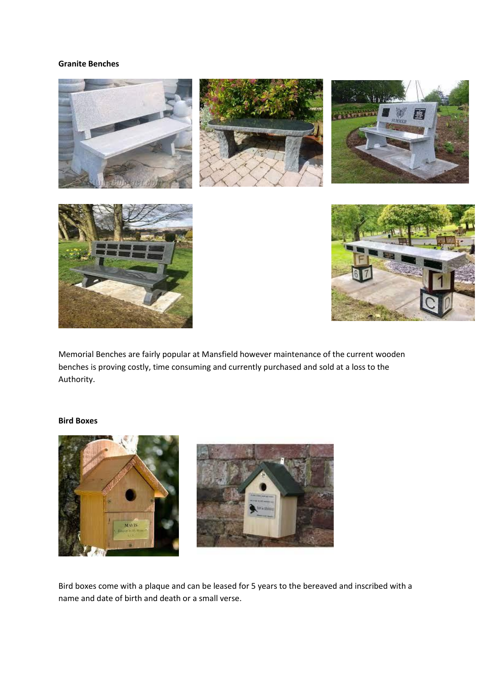### **Granite Benches**



Memorial Benches are fairly popular at Mansfield however maintenance of the current wooden benches is proving costly, time consuming and currently purchased and sold at a loss to the Authority.

## **Bird Boxes**



Bird boxes come with a plaque and can be leased for 5 years to the bereaved and inscribed with a name and date of birth and death or a small verse.